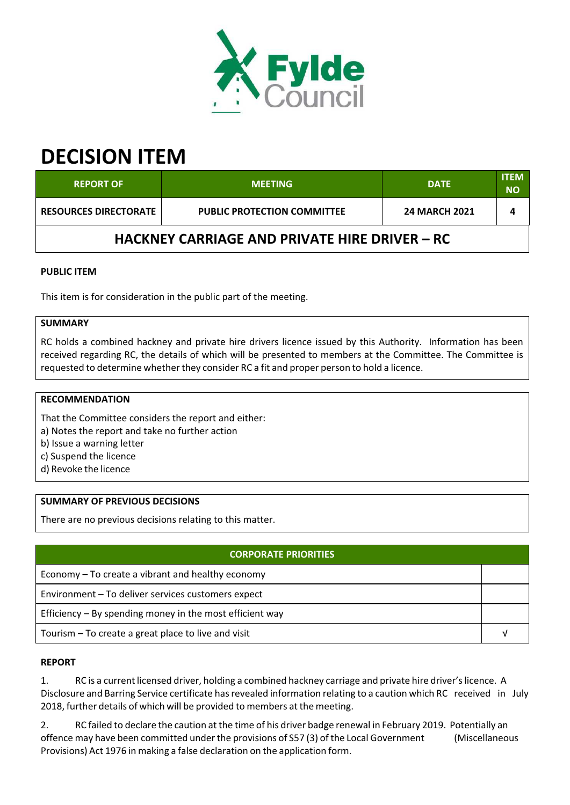

# **DECISION ITEM**

| <b>REPORT OF</b>                                     | <b>MEETING</b>                     | <b>DATE</b>          | <b>ITEM</b><br>ΝO |  |  |  |
|------------------------------------------------------|------------------------------------|----------------------|-------------------|--|--|--|
| <b>RESOURCES DIRECTORATE</b>                         | <b>PUBLIC PROTECTION COMMITTEE</b> | <b>24 MARCH 2021</b> |                   |  |  |  |
| <b>HACKNEY CARRIAGE AND PRIVATE HIRE DRIVER – RC</b> |                                    |                      |                   |  |  |  |

# **PUBLIC ITEM**

This item is for consideration in the public part of the meeting.

#### **SUMMARY**

RC holds a combined hackney and private hire drivers licence issued by this Authority. Information has been received regarding RC, the details of which will be presented to members at the Committee. The Committee is requested to determine whether they consider RC a fit and proper person to hold a licence.

#### **RECOMMENDATION**

That the Committee considers the report and either:

a) Notes the report and take no further action

b) Issue a warning letter

- c) Suspend the licence
- d) Revoke the licence

## **SUMMARY OF PREVIOUS DECISIONS**

There are no previous decisions relating to this matter.

| <b>CORPORATE PRIORITIES</b>                                |  |  |
|------------------------------------------------------------|--|--|
| Economy – To create a vibrant and healthy economy          |  |  |
| Environment - To deliver services customers expect         |  |  |
| Efficiency $-$ By spending money in the most efficient way |  |  |
| Tourism – To create a great place to live and visit        |  |  |

## **REPORT**

1. RC is a current licensed driver, holding a combined hackney carriage and private hire driver'slicence. A Disclosure and Barring Service certificate has revealed information relating to a caution which RC received in July 2018, further details of which will be provided to members at the meeting.

2. RC failed to declare the caution at the time of his driver badge renewal in February 2019. Potentially an offence may have been committed underthe provisions of S57 (3) of the Local Government (Miscellaneous Provisions) Act 1976 in making a false declaration on the application form.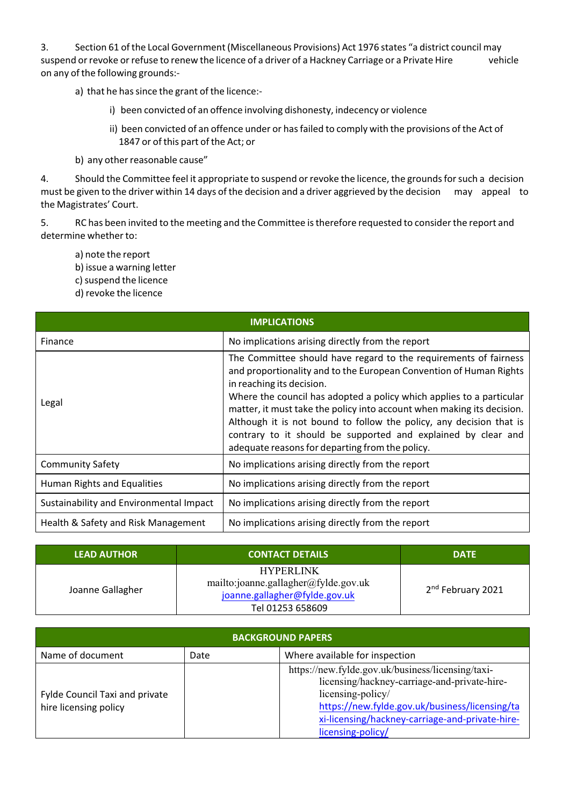3. Section 61 of the Local Government (Miscellaneous Provisions) Act 1976 states "a district council may suspend or revoke or refuse to renew the licence of a driver of a Hackney Carriage or a Private Hire vehicle on any of the following grounds:‐

- a) that he has since the grant of the licence:
	- i) been convicted of an offence involving dishonesty, indecency or violence
	- ii) been convicted of an offence under or has failed to comply with the provisions of the Act of 1847 or of this part of the Act; or
- b) any other reasonable cause"

4. Should the Committee feel it appropriate to suspend or revoke the licence, the grounds for such a decision must be given to the driver within 14 days of the decision and a driver aggrieved by the decision may appeal to the Magistrates' Court.

5. RC has been invited to the meeting and the Committee istherefore requested to considerthe report and determine whether to:

- a) note the report
- b) issue a warning letter
- c) suspend the licence
- d) revoke the licence

| <b>IMPLICATIONS</b>                     |                                                                                                                                                                                                                                                                                                                                                                                                                                                                                                                  |  |  |  |
|-----------------------------------------|------------------------------------------------------------------------------------------------------------------------------------------------------------------------------------------------------------------------------------------------------------------------------------------------------------------------------------------------------------------------------------------------------------------------------------------------------------------------------------------------------------------|--|--|--|
| Finance                                 | No implications arising directly from the report                                                                                                                                                                                                                                                                                                                                                                                                                                                                 |  |  |  |
| Legal                                   | The Committee should have regard to the requirements of fairness<br>and proportionality and to the European Convention of Human Rights<br>in reaching its decision.<br>Where the council has adopted a policy which applies to a particular<br>matter, it must take the policy into account when making its decision.<br>Although it is not bound to follow the policy, any decision that is<br>contrary to it should be supported and explained by clear and<br>adequate reasons for departing from the policy. |  |  |  |
| <b>Community Safety</b>                 | No implications arising directly from the report                                                                                                                                                                                                                                                                                                                                                                                                                                                                 |  |  |  |
| Human Rights and Equalities             | No implications arising directly from the report                                                                                                                                                                                                                                                                                                                                                                                                                                                                 |  |  |  |
| Sustainability and Environmental Impact | No implications arising directly from the report                                                                                                                                                                                                                                                                                                                                                                                                                                                                 |  |  |  |
| Health & Safety and Risk Management     | No implications arising directly from the report                                                                                                                                                                                                                                                                                                                                                                                                                                                                 |  |  |  |

| <b>LEAD AUTHOR</b> | <b>CONTACT DETAILS</b>                                                                                        | <b>DATE</b>                   |
|--------------------|---------------------------------------------------------------------------------------------------------------|-------------------------------|
| Joanne Gallagher   | <b>HYPERLINK</b><br>mailto:joanne.gallagher@fylde.gov.uk<br>joanne.gallagher@fylde.gov.uk<br>Tel 01253 658609 | 2 <sup>nd</sup> February 2021 |

| <b>BACKGROUND PAPERS</b>                                       |      |                                                                                                                                                                                                                                                  |  |  |
|----------------------------------------------------------------|------|--------------------------------------------------------------------------------------------------------------------------------------------------------------------------------------------------------------------------------------------------|--|--|
| Name of document                                               | Date | Where available for inspection                                                                                                                                                                                                                   |  |  |
| <b>Fylde Council Taxi and private</b><br>hire licensing policy |      | https://new.fylde.gov.uk/business/licensing/taxi-<br>licensing/hackney-carriage-and-private-hire-<br>licensing-policy/<br>https://new.fylde.gov.uk/business/licensing/ta<br>xi-licensing/hackney-carriage-and-private-hire-<br>licensing-policy/ |  |  |